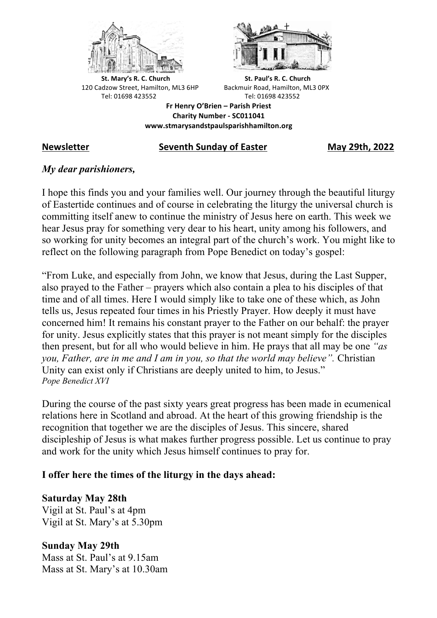



**St.** Mary's R. C. Church St. Paul's R. C. Church 120 Cadzow Street, Hamilton, ML3 6HP Backmuir Road, Hamilton, ML3 0PX Tel: 01698 423552 Tel: 01698 423552

**Fr Henry O'Brien – Parish Priest Charity Number - SC011041 www.stmarysandstpaulsparishhamilton.org**

## **Newsletter Seventh Sunday of Easter May 29th, 2022**

## *My dear parishioners,*

I hope this finds you and your families well. Our journey through the beautiful liturgy of Eastertide continues and of course in celebrating the liturgy the universal church is committing itself anew to continue the ministry of Jesus here on earth. This week we hear Jesus pray for something very dear to his heart, unity among his followers, and so working for unity becomes an integral part of the church's work. You might like to reflect on the following paragraph from Pope Benedict on today's gospel:

"From Luke, and especially from John, we know that Jesus, during the Last Supper, also prayed to the Father – prayers which also contain a plea to his disciples of that time and of all times. Here I would simply like to take one of these which, as John tells us, Jesus repeated four times in his Priestly Prayer. How deeply it must have concerned him! It remains his constant prayer to the Father on our behalf: the prayer for unity. Jesus explicitly states that this prayer is not meant simply for the disciples then present, but for all who would believe in him. He prays that all may be one *"as you, Father, are in me and I am in you, so that the world may believe".* Christian Unity can exist only if Christians are deeply united to him, to Jesus." *Pope Benedict XVI*

During the course of the past sixty years great progress has been made in ecumenical relations here in Scotland and abroad. At the heart of this growing friendship is the recognition that together we are the disciples of Jesus. This sincere, shared discipleship of Jesus is what makes further progress possible. Let us continue to pray and work for the unity which Jesus himself continues to pray for.

## **I offer here the times of the liturgy in the days ahead:**

# **Saturday May 28th**

Vigil at St. Paul's at 4pm Vigil at St. Mary's at 5.30pm

**Sunday May 29th** Mass at St. Paul's at 9.15am Mass at St. Mary's at 10.30am